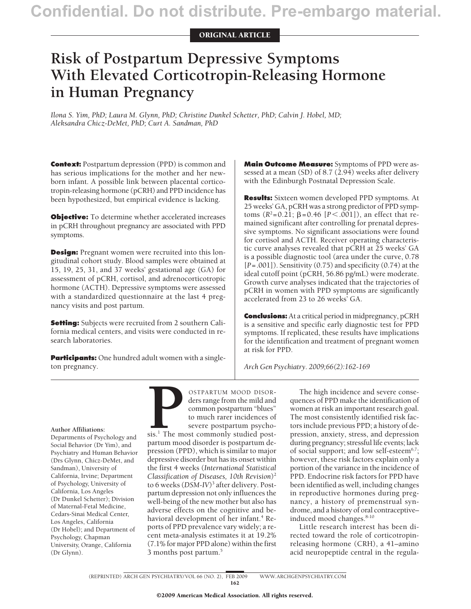ORIGINAL ARTICLE

# **Risk of Postpartum Depressive Symptoms With Elevated Corticotropin-Releasing Hormone in Human Pregnancy**

*Ilona S. Yim, PhD; Laura M. Glynn, PhD; Christine Dunkel Schetter, PhD; Calvin J. Hobel, MD; Aleksandra Chicz-DeMet, PhD; Curt A. Sandman, PhD*

**Context:** Postpartum depression (PPD) is common and has serious implications for the mother and her newborn infant. A possible link between placental corticotropin-releasing hormone (pCRH) and PPD incidence has been hypothesized, but empirical evidence is lacking.

**Objective:** To determine whether accelerated increases in pCRH throughout pregnancy are associated with PPD symptoms.

**Design:** Pregnant women were recruited into this longitudinal cohort study. Blood samples were obtained at 15, 19, 25, 31, and 37 weeks' gestational age (GA) for assessment of pCRH, cortisol, and adrenocorticotropic hormone (ACTH). Depressive symptoms were assessed with a standardized questionnaire at the last 4 pregnancy visits and post partum.

**Setting:** Subjects were recruited from 2 southern California medical centers, and visits were conducted in research laboratories.

**Participants:** One hundred adult women with a singleton pregnancy.

**Main Outcome Measure:** Symptoms of PPD were assessed at a mean (SD) of 8.7 (2.94) weeks after delivery with the Edinburgh Postnatal Depression Scale.

**Results:** Sixteen women developed PPD symptoms. At 25 weeks' GA, pCRH was a strong predictor of PPD symptoms ( $R^2$ =0.21; β=0.46 [ $P$ <.001]), an effect that remained significant after controlling for prenatal depressive symptoms. No significant associations were found for cortisol and ACTH. Receiver operating characteristic curve analyses revealed that pCRH at 25 weeks' GA is a possible diagnostic tool (area under the curve, 0.78 [*P*=.001]). Sensitivity (0.75) and specificity (0.74) at the ideal cutoff point (pCRH, 56.86 pg/mL) were moderate. Growth curve analyses indicated that the trajectories of pCRH in women with PPD symptoms are significantly accelerated from 23 to 26 weeks' GA.

**Conclusions:** At a critical period in midpregnancy, pCRH is a sensitive and specific early diagnostic test for PPD symptoms. If replicated, these results have implications for the identification and treatment of pregnant women at risk for PPD.

*Arch Gen Psychiatry. 2009;66(2):162-169*

#### **Author Affiliations:**

Departments of Psychology and Social Behavior (Dr Yim), and Psychiatry and Human Behavior (Drs Glynn, Chicz-DeMet, and Sandman), University of California, Irvine; Department of Psychology, University of California, Los Angeles (Dr Dunkel Schetter); Division of Maternal-Fetal Medicine, Cedars-Sinai Medical Center, Los Angeles, California (Dr Hobel); and Department of Psychology, Chapman University, Orange, California (Dr Glynn).

**P** OSTPARTUM MOOD DISOR-<br>ders range from the mild and<br>common postpartum "blues"<br>to much rarer incidences of<br>severe postpartum psycho-<br>partum mood disorder is postpartum deders range from the mild and common postpartum "blues" to much rarer incidences of severe postpartum psychosis.<sup>1</sup> The most commonly studied postpartum mood disorder is postpartum depression (PPD), which is similar to major depressive disorder but has its onset within the first 4 weeks (*International Statistical Classification of Diseases, 10th Revision*)2 to 6 weeks (*DSM-IV*)3 after delivery. Postpartum depression not only influences the well-being of the new mother but also has adverse effects on the cognitive and behavioral development of her infant.<sup>4</sup> Reports of PPD prevalence vary widely; a recent meta-analysis estimates it at 19.2% (7.1% for major PPD alone) within the first 3 months post partum.<sup>5</sup>

The high incidence and severe consequences of PPD make the identification of women at risk an important research goal. The most consistently identified risk factors include previous PPD; a history of depression, anxiety, stress, and depression during pregnancy; stressful life events; lack of social support; and low self-esteem $6,7$ ; however, these risk factors explain only a portion of the variance in the incidence of PPD. Endocrine risk factors for PPD have been identified as well, including changes in reproductive hormones during pregnancy, a history of premenstrual syndrome, and a history of oral contraceptive– induced mood changes.<sup>8-10</sup>

Little research interest has been directed toward the role of corticotropinreleasing hormone (CRH), a 41–amino acid neuropeptide central in the regula-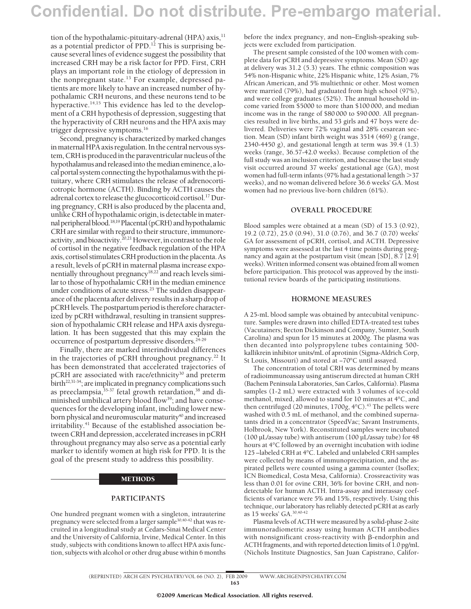tion of the hypothalamic-pituitary-adrenal (HPA) axis,<sup>11</sup> as a potential predictor of PPD.<sup>12</sup> This is surprising because several lines of evidence suggest the possibility that increased CRH may be a risk factor for PPD. First, CRH plays an important role in the etiology of depression in the nonpregnant state.<sup>13</sup> For example, depressed patients are more likely to have an increased number of hypothalamic CRH neurons, and these neurons tend to be hyperactive.<sup>14,15</sup> This evidence has led to the development of a CRH hypothesis of depression, suggesting that the hyperactivity of CRH neurons and the HPA axis may trigger depressive symptoms.<sup>16</sup>

Second, pregnancy is characterized by marked changes in maternal HPA axis regulation. In the central nervous system, CRH is produced in the paraventricular nucleus of the hypothalamus and released into the median eminence, a local portal system connecting the hypothalamus with the pituitary, where CRH stimulates the release of adrenocorticotropic hormone (ACTH). Binding by ACTH causes the adrenal cortex to release the glucocorticoid cortisol.<sup>17</sup> During pregnancy, CRH is also produced by the placenta and, unlike CRH of hypothalamic origin, is detectable in maternal peripheral blood.<sup>18,19</sup> Placental (pCRH) and hypothalamic CRH are similar with regard to their structure, immunoreactivity, and bioactivity.<sup>20,21</sup> However, in contrast to the role of cortisol in the negative feedback regulation of the HPA axis, cortisol stimulates CRH production in the placenta. As a result, levels of pCRH in maternal plasma increase exponentially throughout pregnancy<sup>18,22</sup> and reach levels similar to those of hypothalamic CRH in the median eminence under conditions of acute stress.<sup>23</sup> The sudden disappearance of the placenta after delivery results in a sharp drop of pCRH levels. The postpartum period is therefore characterized by pCRH withdrawal, resulting in transient suppression of hypothalamic CRH release and HPA axis dysregulation. It has been suggested that this may explain the occurrence of postpartum depressive disorders.<sup>24-29</sup>

Finally, there are marked interindividual differences in the trajectories of pCRH throughout pregnancy.<sup>22</sup> It has been demonstrated that accelerated trajectories of pCRH are associated with race/ethnicity<sup>30</sup> and preterm  $\tilde{b}$ irth<sup>22,31-34</sup>; are implicated in pregnancy complications such as preeclampsia, $35-37$  fetal growth retardation, $38$  and diminished umbilical artery blood flow<sup>39</sup>; and have consequences for the developing infant, including lower newborn physical and neuromuscular maturity<sup>40</sup> and increased irritability.<sup>41</sup> Because of the established association between CRH and depression, accelerated increases in pCRH throughout pregnancy may also serve as a potential early marker to identify women at high risk for PPD. It is the goal of the present study to address this possibility.

#### METHODS

#### **PARTICIPANTS**

One hundred pregnant women with a singleton, intrauterine pregnancy were selected from a larger sample30,40-42 that was recruited in a longitudinal study at Cedars-Sinai Medical Center and the University of California, Irvine, Medical Center. In this study, subjects with conditions known to affect HPA axis function, subjects with alcohol or other drug abuse within 6 months before the index pregnancy, and non–English-speaking subjects were excluded from participation.

The present sample consisted of the 100 women with complete data for pCRH and depressive symptoms. Mean (SD) age at delivery was 31.2 (5.3) years. The ethnic composition was 54% non-Hispanic white, 22% Hispanic white, 12% Asian, 7% African American, and 5% multiethnic or other. Most women were married (79%), had graduated from high school (97%), and were college graduates (52%). The annual household income varied from \$5000 to more than \$100 000, and median income was in the range of \$80 000 to \$90 000. All pregnancies resulted in live births, and 53 girls and 47 boys were delivered. Deliveries were 72% vaginal and 28% cesarean section. Mean (SD) infant birth weight was 3514 (469) g (range, 2340-4450 g), and gestational length at term was 39.4 (1.3) weeks (range, 36.57-42.0 weeks). Because completion of the full study was an inclusion criterion, and because the last study visit occurred around 37 weeks' gestational age (GA), most women had full-term infants (97% had a gestational length  $>$ 37 weeks), and no woman delivered before 36.6 weeks' GA. Most women had no previous live-born children (61%).

#### **OVERALL PROCEDURE**

Blood samples were obtained at a mean (SD) of 15.3 (0.92), 19.2 (0.72), 25.0 (0.94), 31.0 (0.76), and 36.7 (0.70) weeks' GA for assessment of pCRH, cortisol, and ACTH. Depressive symptoms were assessed at the last 4 time points during pregnancy and again at the postpartum visit (mean [SD], 8.7 [2.9] weeks). Written informed consent was obtained from all women before participation. This protocol was approved by the institutional review boards of the participating institutions.

#### **HORMONE MEASURES**

A 25-mL blood sample was obtained by antecubital venipuncture. Samples were drawn into chilled EDTA-treated test tubes (Vacutainers; Becton Dickinson and Company, Sumter, South Carolina) and spun for 15 minutes at 2000*g*. The plasma was then decanted into polypropylene tubes containing 500 kallikrein inhibitor units/mL of aprotinin (Sigma-Aldrich Corp, St Louis, Missouri) and stored at −70°C until assayed.

The concentration of total CRH was determined by means of radioimmunoassay using antiserum directed at human CRH (Bachem Peninsula Laboratories, San Carlos, California). Plasma samples (1-2 mL) were extracted with 3 volumes of ice-cold methanol, mixed, allowed to stand for 10 minutes at 4°C, and then centrifuged (20 minutes, 1700g, 4°C).<sup>43</sup> The pellets were washed with 0.5 mL of methanol, and the combined supernatants dried in a concentrator (SpeedVac; Savant Instruments, Holbrook, New York). Reconstituted samples were incubated (100 µL/assay tube) with antiserum (100 µL/assay tube) for 48 hours at 4°C followed by an overnight incubation with iodine 125 –labeled CRH at 4°C. Labeled and unlabeled CRH samples were collected by means of immunoprecipitation, and the aspirated pellets were counted using a gamma counter (Isoflex; ICN Biomedical, Costa Mesa, California). Crossreactivity was less than 0.01 for ovine CRH, 36% for bovine CRH, and nondetectable for human ACTH. Intra-assay and interassay coefficients of variance were 5% and 15%, respectively. Using this technique, our laboratory has reliably detected pCRH at as early as 15 weeks' GA.30,40-42

Plasma levels of ACTH were measured by a solid-phase 2-site immunoradiometric assay using human ACTH antibodies with nonsignificant cross-reactivity with  $\beta$ -endorphin and ACTH fragments, and with reported detection limits of 1.0 pg/mL (Nichols Institute Diagnostics, San Juan Capistrano, Califor-

(REPRINTED) ARCH GEN PSYCHIATRY/ VOL 66 (NO. 2), FEB 2009 WWW.ARCHGENPSYCHIATRY.COM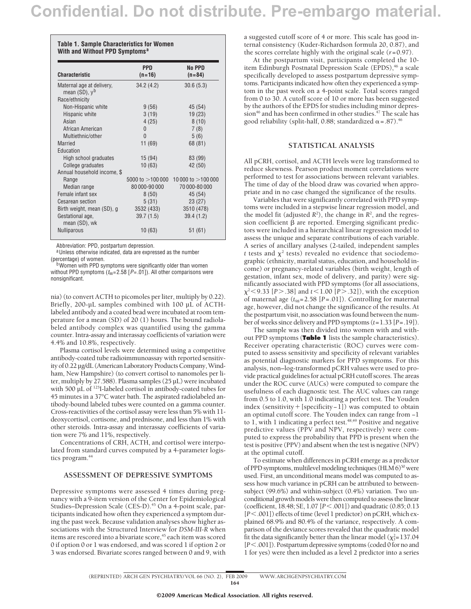**Table 1. Sample Characteristics for Women With and Without PPD Symptoms<sup>a</sup>**

| <b>Characteristic</b>                            | <b>PPD</b><br>$(n=16)$ | No PPD<br>$(n=84)$    |  |
|--------------------------------------------------|------------------------|-----------------------|--|
| Maternal age at delivery,<br>mean $(SD)$ , $v^b$ | 34.2 (4.2)             | 30.6(5.3)             |  |
| Race/ethnicity                                   |                        |                       |  |
| Non-Hispanic white                               | 9(56)                  | 45 (54)               |  |
| Hispanic white                                   | 3(19)                  | 19(23)                |  |
| Asian                                            | 4(25)                  | 8(10)                 |  |
| African American                                 | 0                      | 7(8)                  |  |
| Multiethnic/other                                | $\mathbf{0}$           | 5(6)                  |  |
| <b>Married</b>                                   | 11(69)                 | 68 (81)               |  |
| Education                                        |                        |                       |  |
| High school graduates                            | 15(94)                 | 83 (99)               |  |
| College graduates                                | 10(63)                 | 42 (50)               |  |
| Annual household income, \$                      |                        |                       |  |
| Range                                            | 5000 to $>$ 100 000    | 10 000 to $>$ 100 000 |  |
| Median range                                     | 80 000-90 000          | 70 000-80 000         |  |
| Female infant sex                                | 8(50)                  | 45 (54)               |  |
| Cesarean section                                 | 5(31)                  | 23(27)                |  |
| Birth weight, mean (SD), g                       | 3532 (433)             | 3510 (478)            |  |
| Gestational age,<br>mean (SD), wk                | 39.7(1.5)              | 39.4(1.2)             |  |
| <b>Nulliparous</b>                               | 10(63)                 | 51(61)                |  |

Abbreviation: PPD, postpartum depression.

 $a<sup>a</sup>$ Unless otherwise indicated, data are expressed as the number (percentage) of women.

<sup>b</sup>Women with PPD symptoms were significantly older than women without PPD symptoms  $(t_{98}=2.58$   $[P=.01]$ ). All other comparisons were nonsignificant.

nia) (to convert ACTH to picomoles per liter, multiply by 0.22). Briefly, 200-µL samples combined with 100 µL of ACTHlabeled antibody and a coated bead were incubated at room temperature for a mean (SD) of 20 (1) hours. The bound radiolabeled antibody complex was quantified using the gamma counter. Intra-assay and interassay coefficients of variation were 4.4% and 10.8%, respectively.

Plasma cortisol levels were determined using a competitive antibody-coated tube radioimmunoassay with reported sensitivity of 0.22 µg/dL (American Laboratory Products Company, Windham, New Hampshire) (to convert cortisol to nanomoles per liter, multiply by 27.588). Plasma samples (25 µL) were incubated with 500 µL of <sup>125</sup>I-labeled cortisol in antibody-coated tubes for 45 minutes in a 37°C water bath. The aspirated radiolabeled antibody-bound labeled tubes were counted on a gamma counter. Cross-reactivities of the cortisol assay were less than 5% with 11 deoxycortisol, cortisone, and prednisone, and less than 1% with other steroids. Intra-assay and interassay coefficients of variation were 7% and 11%, respectively.

Concentrations of CRH, ACTH, and cortisol were interpolated from standard curves computed by a 4-parameter logistics program.<sup>44</sup>

#### **ASSESSMENT OF DEPRESSIVE SYMPTOMS**

Depressive symptoms were assessed 4 times during pregnancy with a 9-item version of the Center for Epidemiological Studies–Depression Scale (CES-D).<sup>45</sup> On a 4-point scale, participants indicated how often they experienced a symptom during the past week. Because validation analyses show higher associations with the Structured Interview for *DSM-III-R* when items are rescored into a bivariate score,<sup>45</sup> each item was scored 0 if option 0 or 1 was endorsed, and was scored 1 if option 2 or 3 was endorsed. Bivariate scores ranged between 0 and 9, with a suggested cutoff score of 4 or more. This scale has good internal consistency (Kuder-Richardson formula 20, 0.87), and the scores correlate highly with the original scale (*r*=0.97).

At the postpartum visit, participants completed the 10 item Edinburgh Postnatal Depression Scale (EPDS),<sup>46</sup> a scale specifically developed to assess postpartum depressive symptoms. Participants indicated how often they experienced a symptom in the past week on a 4-point scale. Total scores ranged from 0 to 30. A cutoff score of 10 or more has been suggested by the authors of the EPDS for studies including minor depres $sion^{46}$  and has been confirmed in other studies.<sup> $47$ </sup> The scale has good reliability (split-half, 0.88; standardized  $\alpha$  = .87).<sup>46</sup>

#### **STATISTICAL ANALYSIS**

All pCRH, cortisol, and ACTH levels were log transformed to reduce skewness. Pearson product moment correlations were performed to test for associations between relevant variables. The time of day of the blood draw was covaried when appropriate and in no case changed the significance of the results.

Variables that were significantly correlated with PPD symptoms were included in a stepwise linear regression model, and the model fit (adjusted  $R^2$ ), the change in  $R^2$ , and the regression coefficient  $\beta$  are reported. Emerging significant predictors were included in a hierarchical linear regression model to assess the unique and separate contributions of each variable. A series of ancillary analyses (2-tailed, independent samples *t* tests and  $\chi^2$  tests) revealed no evidence that sociodemographic (ethnicity, marital status, education, and household income) or pregnancy-related variables (birth weight, length of gestation, infant sex, mode of delivery, and parity) were significantly associated with PPD symptoms (for all associations, 2-9.33 [*P*.38] and *t*-1.00 [*P*.32]), with the exception of maternal age  $(t_{98}=2.58$  [ $P=.01$ ]). Controlling for maternal age, however, did not change the significance of the results. At the postpartum visit, no association was found between the number of weeks since delivery and PPD symptoms (*t*=1.33 [*P*=.19]).

The sample was then divided into women with and without PPD symptoms (**Table 1** lists the sample characteristics). Receiver operating characteristic (ROC) curves were computed to assess sensitivity and specificity of relevant variables as potential diagnostic markers for PPD symptoms. For this analysis, non–log-transformed pCRH values were used to provide practical guidelines for actual pCRH cutoff scores. The areas under the ROC curve (AUCs) were computed to compare the usefulness of each diagnostic test. The AUC values can range from 0.5 to 1.0, with 1.0 indicating a perfect test. The Youden index (sensitivity[specificity−1]) was computed to obtain an optimal cutoff score. The Youden index can range from −1 to 1, with 1 indicating a perfect test.<sup>48,49</sup> Positive and negative predictive values (PPV and NPV, respectively) were computed to express the probability that PPD is present when the test is positive (PPV) and absent when the test is negative (NPV) at the optimal cutoff.

To estimate when differences in pCRH emerge as a predictor of PPD symptoms, multilevel modeling techniques (HLM  $6$ )<sup>50</sup> were used. First, an unconditional means model was computed to assess how much variance in pCRH can be attributed to betweensubject (99.6%) and within-subject (0.4%) variation. Two unconditional growth models were then computed to assess the linear (coefficient, 18.48; SE, 1.07 [ $P$ <.001]) and quadratic (0.85; 0.13 [ $P$ <.001]) effects of time (level 1 predictor) on pCRH, which explained 68.9% and 80.4% of the variance, respectively. A comparison of the deviance scores revealed that the quadratic model fit the data significantly better than the linear model ( $\chi^2$ =137.04 [*P*-.001]). Postpartum depressive symptoms (coded 0 for no and 1 for yes) were then included as a level 2 predictor into a series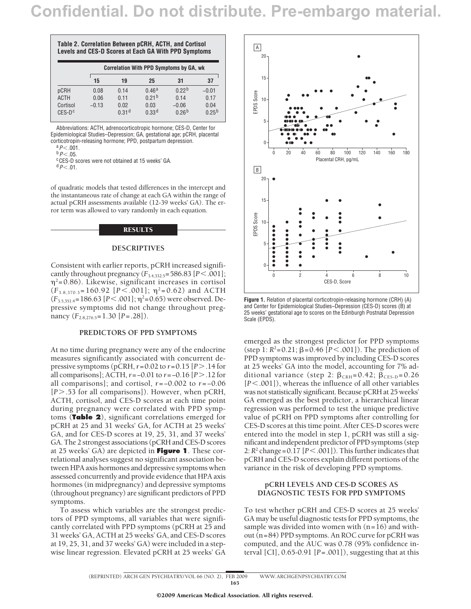| Table 2. Correlation Between pCRH, ACTH, and Cortisol<br>Levels and CES-D Scores at Each GA With PPD Symptoms |         |                                                |                           |                              |                    |  |  |
|---------------------------------------------------------------------------------------------------------------|---------|------------------------------------------------|---------------------------|------------------------------|--------------------|--|--|
|                                                                                                               |         | <b>Correlation With PPD Symptoms by GA, wk</b> |                           |                              |                    |  |  |
|                                                                                                               | 15      | 19                                             | 25                        | 31                           | 37                 |  |  |
| pCRH                                                                                                          | 0.08    | 0.14                                           | 0.46 <sup>a</sup>         | 0.22 <sup>b</sup>            | $-0.01$            |  |  |
| <b>ACTH</b>                                                                                                   | 0.06    | 0.11                                           | 0.21 <sup>b</sup>         | 014                          | 0.17               |  |  |
| Cortisol<br>$CES-Dc$                                                                                          | $-0.13$ | 0.02<br>0.31 <sup>d</sup>                      | 0.03<br>0.33 <sup>d</sup> | $-0.06$<br>0.26 <sup>b</sup> | 0.04<br>$0.25^{b}$ |  |  |

Abbreviations: ACTH, adrenocorticotropic hormone; CES-D, Center for Epidemiological Studies–Depression; GA, gestational age; pCRH, placental corticotropin-releasing hormone; PPD, postpartum depression.

 $aP<.001$ .

 $b$   $P$  < .05.

<sup>c</sup>CES-D scores were not obtained at 15 weeks' GA.

 $dP$   $<$  .01.

of quadratic models that tested differences in the intercept and the instantaneous rate of change at each GA within the range of actual pCRH assessments available (12-39 weeks' GA). The error term was allowed to vary randomly in each equation.

#### **RESULTS**

#### **DESCRIPTIVES**

Consistent with earlier reports, pCRH increased significantly throughout pregnancy  $(F_{3.4,332.5} = 586.83$  [ $P < .001$ ];  $\eta^2$ =0.86). Likewise, significant increases in cortisol  $(F_{3.8,370.3} = 160.92$  [*P* < .001];  $\eta^2 = 0.62$ ) and ACTH  $(F_{3.5,351.4} = 186.63 [P<.001]; \eta^2 = 0.65)$  were observed. Depressive symptoms did not change throughout pregnancy (*F*2.8,276.5=1.30 [*P*=.28]).

#### **PREDICTORS OF PPD SYMPTOMS**

At no time during pregnancy were any of the endocrine measures significantly associated with concurrent depressive symptoms (pCRH,  $r=0.02$  to  $r=0.15$  [ $P > 14$  for all comparisons]; ACTH,*r*=−0.01 to *r*=−0.16 [*P*.12 for all comparisons]; and cortisol, *r*=−0.002 to *r*=−0.06 [*P*.53 for all comparisons]). However, when pCRH, ACTH, cortisol, and CES-D scores at each time point during pregnancy were correlated with PPD symptoms (**Table 2**), significant correlations emerged for pCRH at 25 and 31 weeks' GA, for ACTH at 25 weeks' GA, and for CES-D scores at 19, 25, 31, and 37 weeks' GA. The 2 strongest associations (pCRH and CES-D scores at 25 weeks' GA) are depicted in **Figure 1**. These correlational analyses suggest no significant association between HPA axis hormones and depressive symptoms when assessed concurrently and provide evidence that HPA axis hormones (in midpregnancy) and depressive symptoms (throughout pregnancy) are significant predictors of PPD symptoms.

To assess which variables are the strongest predictors of PPD symptoms, all variables that were significantly correlated with PPD symptoms (pCRH at 25 and 31 weeks' GA, ACTH at 25 weeks' GA, and CES-D scores at 19, 25, 31, and 37 weeks' GA) were included in a stepwise linear regression. Elevated pCRH at 25 weeks' GA



**Figure 1.** Relation of placental corticotropin-releasing hormone (CRH) (A) and Center for Epidemiological Studies–Depression (CES-D) scores (B) at 25 weeks' gestational age to scores on the Edinburgh Postnatal Depression Scale (EPDS).

emerged as the strongest predictor for PPD symptoms (step 1:  $R^2 = 0.21$ ;  $\beta = 0.46$  [*P* < .001]). The prediction of PPD symptoms was improved by including CES-D scores at 25 weeks' GA into the model, accounting for 7% additional variance (step 2:  $\beta_{\text{CRH}} = 0.42$ ;  $\beta_{\text{CES-D}} = 0.26$ [*P*-.001]), whereas the influence of all other variables was not statistically significant. Because pCRH at 25 weeks' GA emerged as the best predictor, a hierarchical linear regression was performed to test the unique predictive value of pCRH on PPD symptoms after controlling for CES-D scores at this time point. After CES-D scores were entered into the model in step 1, pCRH was still a significant and independent predictor of PPD symptoms (step 2:  $R^2$  change = 0.17 [ $P$  < .001]). This further indicates that pCRH and CES-D scores explain different portions of the variance in the risk of developing PPD symptoms.

#### **pCRH LEVELS AND CES-D SCORES AS DIAGNOSTIC TESTS FOR PPD SYMPTOMS**

To test whether pCRH and CES-D scores at 25 weeks' GA may be useful diagnostic tests for PPD symptoms, the sample was divided into women with (n=16) and without (n=84) PPD symptoms. An ROC curve for pCRH was computed, and the AUC was 0.78 (95% confidence interval  $[CI]$ ,  $0.65$ - $0.91$   $[P=.001]$ ), suggesting that at this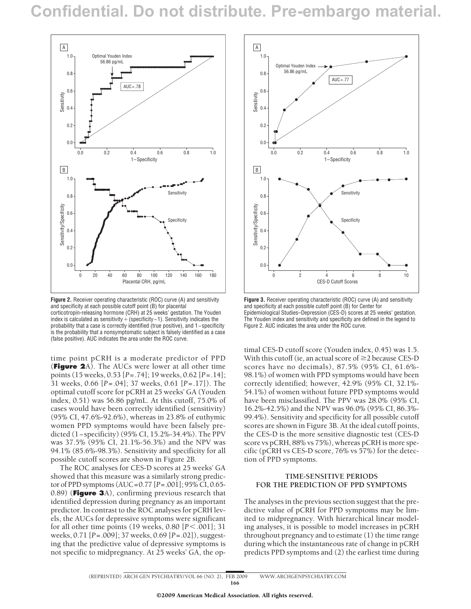

**Figure 2.** Receiver operating characteristic (ROC) curve (A) and sensitivity and specificity at each possible cutoff point (B) for placental corticotropin-releasing hormone (CRH) at 25 weeks' gestation. The Youden index is calculated as sensitivity + (specificity−1). Sensitivity indicates the probability that a case is correctly identified (true positive), and 1−specificity is the probability that a nonsymptomatic subject is falsely identified as a case (false positive). AUC indicates the area under the ROC curve.

time point pCRH is a moderate predictor of PPD (**Figure 2**A). The AUCs were lower at all other time points (15 weeks, 0.53 [*P*=.74]; 19 weeks, 0.62 [*P*=.14]; 31 weeks, 0.66 [*P*=.04]; 37 weeks, 0.61 [*P*=.17]). The optimal cutoff score for pCRH at 25 weeks' GA (Youden index, 0.51) was 56.86 pg/mL. At this cutoff, 75.0% of cases would have been correctly identified (sensitivity) (95% CI, 47.6%-92.6%), whereas in 23.8% of euthymic women PPD symptoms would have been falsely predicted (1−specificity) (95% CI, 15.2%-34.4%). The PPV was 37.5% (95% CI, 21.1%-56.3%) and the NPV was 94.1% (85.6%-98.3%). Sensitivity and specificity for all possible cutoff scores are shown in Figure 2B.

The ROC analyses for CES-D scores at 25 weeks' GA showed that this measure was a similarly strong predictor of PPD symptoms (AUC=0.77 [*P*=.001]; 95% CI, 0.65- 0.89) (**Figure 3**A), confirming previous research that identified depression during pregnancy as an important predictor. In contrast to the ROC analyses for pCRH levels, the AUCs for depressive symptoms were significant for all other time points (19 weeks, 0.80 [*P*-.001]; 31 weeks, 0.71 [*P*=.009]; 37 weeks, 0.69 [*P*=.02]), suggesting that the predictive value of depressive symptoms is not specific to midpregnancy. At 25 weeks' GA, the op-



**Figure 3.** Receiver operating characteristic (ROC) curve (A) and sensitivity and specificity at each possible cutoff point (B) for Center for Epidemiological Studies–Depression (CES-D) scores at 25 weeks' gestation. The Youden index and sensitivity and specificity are defined in the legend to Figure 2. AUC indicates the area under the ROC curve.

timal CES-D cutoff score (Youden index, 0.45) was 1.5. With this cutoff (ie, an actual score of  $\geq$ 2 because CES-D scores have no decimals), 87.5% (95% CI, 61.6%- 98.1%) of women with PPD symptoms would have been correctly identified; however, 42.9% (95% CI, 32.1%- 54.1%) of women without future PPD symptoms would have been misclassified. The PPV was 28.0% (95% CI, 16.2%-42.5%) and the NPV was 96.0% (95% CI, 86.3%- 99.4%). Sensitivity and specificity for all possible cutoff scores are shown in Figure 3B. At the ideal cutoff points, the CES-D is the more sensitive diagnostic test (CES-D score vs pCRH, 88% vs 75%), whereas pCRH is more specific (pCRH vs CES-D score, 76% vs 57%) for the detection of PPD symptoms.

#### **TIME-SENSITIVE PERIODS FOR THE PREDICTION OF PPD SYMPTOMS**

The analyses in the previous section suggest that the predictive value of pCRH for PPD symptoms may be limited to midpregnancy. With hierarchical linear modeling analyses, it is possible to model increases in pCRH throughout pregnancy and to estimate (1) the time range during which the instantaneous rate of change in pCRH predicts PPD symptoms and (2) the earliest time during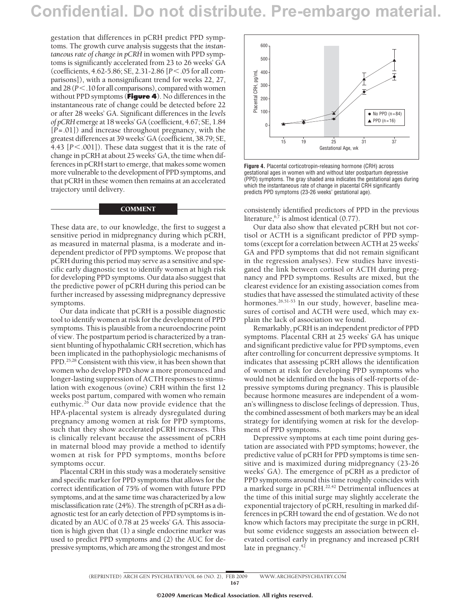gestation that differences in pCRH predict PPD symptoms. The growth curve analysis suggests that the *instantaneous rate of change in pCRH* in women with PPD symptoms is significantly accelerated from 23 to 26 weeks' GA (coefficients, 4.62-5.86; SE, 2.31-2.86 [*P*-.05 for all comparisons]), with a nonsignificant trend for weeks 22, 27, and 28 (P < .10 for all comparisons), compared with women without PPD symptoms (**Figure 4**). No differences in the instantaneous rate of change could be detected before 22 or after 28 weeks' GA. Significant differences in the *levels of pCRH*emerge at 18 weeks' GA (coefficient, 4.67; SE, 1.84 [*P*=.01]) and increase throughout pregnancy, with the greatest differences at 39 weeks' GA (coefficient, 38.79; SE, 4.43 [P < .001]). These data suggest that it is the rate of change in pCRH at about 25 weeks' GA, the time when differences in pCRH start to emerge, that makes some women more vulnerable to the development of PPD symptoms, and that pCRH in these women then remains at an accelerated trajectory until delivery.

#### **COMMENT**

These data are, to our knowledge, the first to suggest a sensitive period in midpregnancy during which pCRH, as measured in maternal plasma, is a moderate and independent predictor of PPD symptoms. We propose that pCRH during this period may serve as a sensitive and specific early diagnostic test to identify women at high risk for developing PPD symptoms. Our data also suggest that the predictive power of pCRH during this period can be further increased by assessing midpregnancy depressive symptoms.

Our data indicate that pCRH is a possible diagnostic tool to identify women at risk for the development of PPD symptoms. This is plausible from a neuroendocrine point of view. The postpartum period is characterized by a transient blunting of hypothalamic CRH secretion, which has been implicated in the pathophysiologic mechanisms of PPD.<sup>25,28</sup> Consistent with this view, it has been shown that women who develop PPD show a more pronounced and longer-lasting suppression of ACTH responses to stimulation with exogenous (ovine) CRH within the first 12 weeks post partum, compared with women who remain euthymic.<sup>26</sup> Our data now provide evidence that the HPA-placental system is already dysregulated during pregnancy among women at risk for PPD symptoms, such that they show accelerated pCRH increases. This is clinically relevant because the assessment of pCRH in maternal blood may provide a method to identify women at risk for PPD symptoms, months before symptoms occur.

Placental CRH in this study was a moderately sensitive and specific marker for PPD symptoms that allows for the correct identification of 75% of women with future PPD symptoms, and at the same time was characterized by a low misclassification rate (24%). The strength of pCRH as a diagnostic test for an early detection of PPD symptoms is indicated by an AUC of 0.78 at 25 weeks' GA. This association is high given that (1) a single endocrine marker was used to predict PPD symptoms and (2) the AUC for depressive symptoms, which are among the strongest and most



**Figure 4.** Placental corticotropin-releasing hormone (CRH) across gestational ages in women with and without later postpartum depressive (PPD) symptoms. The gray shaded area indicates the gestational ages during which the instantaneous rate of change in placental CRH significantly predicts PPD symptoms (23-26 weeks' gestational age).

consistently identified predictors of PPD in the previous literature,  $6,7$  is almost identical (0.77).

Our data also show that elevated pCRH but not cortisol or ACTH is a significant predictor of PPD symptoms (except for a correlation between ACTH at 25 weeks' GA and PPD symptoms that did not remain significant in the regression analyses). Few studies have investigated the link between cortisol or ACTH during pregnancy and PPD symptoms. Results are mixed, but the clearest evidence for an existing association comes from studies that have assessed the stimulated activity of these hormones.<sup>26,51-53</sup> In our study, however, baseline measures of cortisol and ACTH were used, which may explain the lack of association we found.

Remarkably, pCRH is an independent predictor of PPD symptoms. Placental CRH at 25 weeks' GA has unique and significant predictive value for PPD symptoms, even after controlling for concurrent depressive symptoms. It indicates that assessing pCRH allows the identification of women at risk for developing PPD symptoms who would not be identified on the basis of self-reports of depressive symptoms during pregnancy. This is plausible because hormone measures are independent of a woman's willingness to disclose feelings of depression. Thus, the combined assessment of both markers may be an ideal strategy for identifying women at risk for the development of PPD symptoms.

Depressive symptoms at each time point during gestation are associated with PPD symptoms; however, the predictive value of pCRH for PPD symptoms is time sensitive and is maximized during midpregnancy (23-26 weeks' GA). The emergence of pCRH as a predictor of PPD symptoms around this time roughly coincides with a marked surge in  $p$ CRH.<sup>22,42</sup> Detrimental influences at the time of this initial surge may slightly accelerate the exponential trajectory of pCRH, resulting in marked differences in pCRH toward the end of gestation. We do not know which factors may precipitate the surge in pCRH, but some evidence suggests an association between elevated cortisol early in pregnancy and increased pCRH late in pregnancy.<sup>42</sup>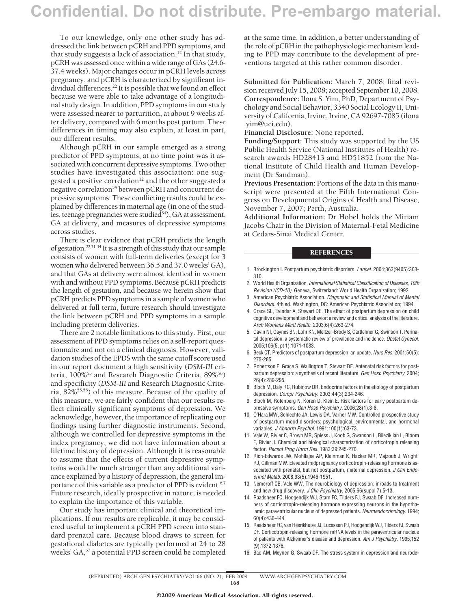To our knowledge, only one other study has addressed the link between pCRH and PPD symptoms, and that study suggests a lack of association.<sup>12</sup> In that study, pCRH was assessed once within a wide range of GAs (24.6- 37.4 weeks). Major changes occur in pCRH levels across pregnancy, and pCRH is characterized by significant individual differences.<sup>22</sup> It is possible that we found an effect because we were able to take advantage of a longitudinal study design. In addition, PPD symptoms in our study were assessed nearer to parturition, at about 9 weeks after delivery, compared with 6 months post partum. These differences in timing may also explain, at least in part, our different results.

Although pCRH in our sample emerged as a strong predictor of PPD symptoms, at no time point was it associated with concurrent depressive symptoms. Two other studies have investigated this association: one suggested a positive correlation<sup>12</sup> and the other suggested a negative correlation<sup>54</sup> between pCRH and concurrent depressive symptoms. These conflicting results could be explained by differences in maternal age (in one of the studies, teenage pregnancies were studied $(54)$ , GA at assessment, GA at delivery, and measures of depressive symptoms across studies.

There is clear evidence that pCRH predicts the length of gestation.<sup>22,31-34</sup> It is a strength of this study that our sample consists of women with full-term deliveries (except for 3 women who delivered between 36.5 and 37.0 weeks' GA), and that GAs at delivery were almost identical in women with and without PPD symptoms. Because pCRH predicts the length of gestation, and because we herein show that pCRH predicts PPD symptoms in a sample of women who delivered at full term, future research should investigate the link between pCRH and PPD symptoms in a sample including preterm deliveries.

There are 2 notable limitations to this study. First, our assessment of PPD symptoms relies on a self-report questionnaire and not on a clinical diagnosis. However, validation studies of the EPDS with the same cutoff score used in our report document a high sensitivity (*DSM-III* criteria, 100%<sup>55</sup> and Research Diagnostic Criteria, 89%<sup>56</sup>) and specificity (*DSM-III* and Research Diagnostic Criteria, 82%55,56) of this measure. Because of the quality of this measure, we are fairly confident that our results reflect clinically significant symptoms of depression. We acknowledge, however, the importance of replicating our findings using further diagnostic instruments. Second, although we controlled for depressive symptoms in the index pregnancy, we did not have information about a lifetime history of depression. Although it is reasonable to assume that the effects of current depressive symptoms would be much stronger than any additional variance explained by a history of depression, the general importance of this variable as a predictor of PPD is evident.<sup>6,7</sup> Future research, ideally prospective in nature, is needed to explain the importance of this variable.

Our study has important clinical and theoretical implications. If our results are replicable, it may be considered useful to implement a pCRH PPD screen into standard prenatal care. Because blood draws to screen for gestational diabetes are typically performed at 24 to 28 weeks' GA,<sup>57</sup> a potential PPD screen could be completed at the same time. In addition, a better understanding of the role of pCRH in the pathophysiologic mechanism leading to PPD may contribute to the development of preventions targeted at this rather common disorder.

**Submitted for Publication:** March 7, 2008; final revision received July 15, 2008; accepted September 10, 2008. **Correspondence:** Ilona S. Yim, PhD, Department of Psychology and Social Behavior, 3340 Social Ecology II, University of California, Irvine, Irvine, CA 92697-7085 (ilona .yim@uci.edu).

**Financial Disclosure:** None reported.

**Funding/Support:** This study was supported by the US Public Health Service (National Institutes of Health) research awards HD28413 and HD51852 from the National Institute of Child Health and Human Development (Dr Sandman).

**Previous Presentation:** Portions of the data in this manuscript were presented at the Fifth International Congress on Developmental Origins of Health and Disease; November 7, 2007; Perth, Australia.

**Additional Information:** Dr Hobel holds the Miriam Jacobs Chair in the Division of Maternal-Fetal Medicine at Cedars-Sinai Medical Center.

#### **REFERENCES**

- 1. Brockington I. Postpartum psychiatric disorders. *Lancet*. 2004;363(9405):303- 310.
- 2. World Health Organization. *International Statistical Classification of Diseases, 10th Revision (ICD-10)*. Geneva, Switzerland: World Health Organization; 1992.
- 3. American Psychiatric Association. *Diagnostic and Statistical Manual of Mental Disorders*. 4th ed. Washington, DC: American Psychiatric Association; 1994.
- 4. Grace SL, Evindar A, Stewart DE. The effect of postpartum depression on child cognitive development and behavior: a review and critical analysis of the literature. *Arch Womens Ment Health*. 2003;6(4):263-274.
- 5. Gavin NI, Gaynes BN, Lohr KN, Meltzer-Brody S, Gartlehner G, Swinson T. Perinatal depression: a systematic review of prevalence and incidence. *Obstet Gynecol*. 2005;106(5, pt 1):1071-1083.
- 6. Beck CT. Predictors of postpartum depression: an update. *Nurs Res*. 2001;50(5): 275-285.
- 7. Robertson E, Grace S, Wallington T, Stewart DE. Antenatal risk factors for postpartum depression: a synthesis of recent literature. *Gen Hosp Psychiatry*. 2004; 26(4):289-295.
- 8. Bloch M, Daly RC, Rubinow DR. Endocrine factors in the etiology of postpartum depression. *Compr Psychiatry*. 2003;44(3):234-246.
- 9. Bloch M, Rotenberg N, Koren D, Klein E. Risk factors for early postpartum depressive symptoms. *Gen Hosp Psychiatry*. 2006;28(1):3-8.
- 10. O'Hara MW, Schlechte JA, Lewis DA, Varner MW. Controlled prospective study of postpartum mood disorders: psychological, environmental, and hormonal variables. *J Abnorm Psychol*. 1991;100(1):63-73.
- 11. Vale W, Rivier C, Brown MR, Spiess J, Koob G, Swanson L, Bilezikjian L, Bloom F, Rivier J. Chemical and biological characterization of corticotropin releasing factor. *Recent Prog Horm Res*. 1983;39:245-270.
- 12. Rich-Edwards JW, Mohllajee AP, Kleinman K, Hacker MR, Majzoub J, Wright RJ, Gillman MW. Elevated midpregnancy corticotropin-releasing hormone is associated with prenatal, but not postpartum, maternal depression. *J Clin Endocrinol Metab*. 2008;93(5):1946-1951.
- 13. Nemeroff CB, Vale WW. The neurobiology of depression: inroads to treatment and new drug discovery. *J Clin Psychiatry*. 2005;66(suppl 7):5-13.
- 14. Raadsheer FC, Hoogendijk WJ, Stam FC, Tilders FJ, Swaab DF. Increased numbers of corticotropin-releasing hormone expressing neurons in the hypothalamic paraventricular nucleus of depressed patients. *Neuroendocrinology*. 1994; 60(4):436-444.
- 15. Raadsheer FC, van Heerikhuize JJ, Lucassen PJ, Hoogendijk WJ, Tilders FJ, Swaab DF. Corticotropin-releasing hormone mRNA levels in the paraventricular nucleus of patients with Alzheimer's disease and depression. *Am J Psychiatry*. 1995;152 (9):1372-1376.
- 16. Bao AM, Meynen G, Swaab DF. The stress system in depression and neurode-